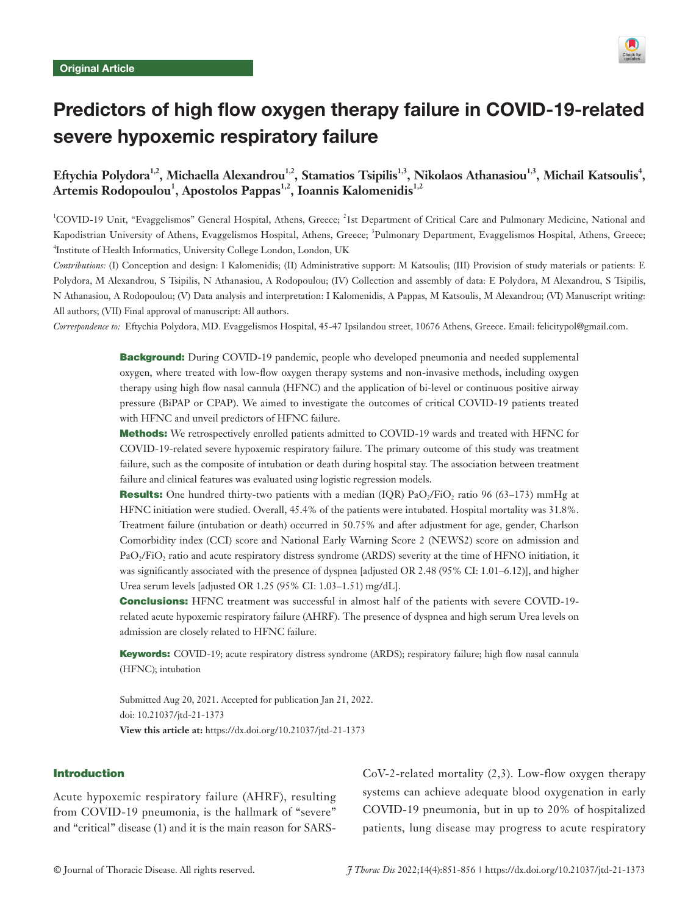

# Predictors of high flow oxygen therapy failure in COVID-19-related severe hypoxemic respiratory failure

# Eftychia Polydora<sup>1,2</sup>, Michaella Alexandrou<sup>1,2</sup>, Stamatios Tsipilis<sup>1,3</sup>, Nikolaos Athanasiou<sup>1,3</sup>, Michail Katsoulis<sup>4</sup>, Artemis Rodopoulou<sup>1</sup>, Apostolos Pappas<sup>1,2</sup>, Ioannis Kalomenidis<sup>1,2</sup>

<sup>1</sup>COVID-19 Unit, "Evaggelismos" General Hospital, Athens, Greece; <sup>2</sup>1st Department of Critical Care and Pulmonary Medicine, National and Kapodistrian University of Athens, Evaggelismos Hospital, Athens, Greece; <sup>3</sup>Pulmonary Department, Evaggelismos Hospital, Athens, Greece; 4 Institute of Health Informatics, University College London, London, UK

*Contributions:* (I) Conception and design: I Kalomenidis; (II) Administrative support: M Katsoulis; (III) Provision of study materials or patients: E Polydora, M Alexandrou, S Tsipilis, N Athanasiou, A Rodopoulou; (IV) Collection and assembly of data: E Polydora, M Alexandrou, S Tsipilis, N Athanasiou, A Rodopoulou; (V) Data analysis and interpretation: I Kalomenidis, A Pappas, M Katsoulis, M Alexandrou; (VI) Manuscript writing: All authors; (VII) Final approval of manuscript: All authors.

*Correspondence to:* Eftychia Polydora, MD. Evaggelismos Hospital, 45-47 Ipsilandou street, 10676 Athens, Greece. Email: felicitypol@gmail.com.

**Background:** During COVID-19 pandemic, people who developed pneumonia and needed supplemental oxygen, where treated with low-flow oxygen therapy systems and non-invasive methods, including oxygen therapy using high flow nasal cannula (HFNC) and the application of bi-level or continuous positive airway pressure (BiPAP or CPAP). We aimed to investigate the outcomes of critical COVID-19 patients treated with HFNC and unveil predictors of HFNC failure.

Methods: We retrospectively enrolled patients admitted to COVID-19 wards and treated with HFNC for COVID-19-related severe hypoxemic respiratory failure. The primary outcome of this study was treatment failure, such as the composite of intubation or death during hospital stay. The association between treatment failure and clinical features was evaluated using logistic regression models.

**Results:** One hundred thirty-two patients with a median (IQR) PaO<sub>2</sub>/FiO<sub>2</sub> ratio 96 (63–173) mmHg at HFNC initiation were studied. Overall, 45.4% of the patients were intubated. Hospital mortality was 31.8%. Treatment failure (intubation or death) occurred in 50.75% and after adjustment for age, gender, Charlson Comorbidity index (CCI) score and National Early Warning Score 2 (NEWS2) score on admission and PaO<sub>2</sub>/FiO<sub>2</sub> ratio and acute respiratory distress syndrome (ARDS) severity at the time of HFNO initiation, it was significantly associated with the presence of dyspnea [adjusted OR 2.48 (95% CI: 1.01–6.12)], and higher Urea serum levels [adjusted OR 1.25 (95% CI: 1.03–1.51) mg/dL].

Conclusions: HFNC treatment was successful in almost half of the patients with severe COVID-19 related acute hypoxemic respiratory failure (AHRF). The presence of dyspnea and high serum Urea levels on admission are closely related to HFNC failure.

Keywords: COVID-19; acute respiratory distress syndrome (ARDS); respiratory failure; high flow nasal cannula (HFNC); intubation

Submitted Aug 20, 2021. Accepted for publication Jan 21, 2022. doi: 10.21037/jtd-21-1373 **View this article at:** https://dx.doi.org/10.21037/jtd-21-1373

### Introduction

Acute hypoxemic respiratory failure (AHRF), resulting from COVID-19 pneumonia, is the hallmark of "severe" and "critical" disease (1) and it is the main reason for SARS- CoV-2-related mortality (2,3). Low-flow oxygen therapy systems can achieve adequate blood oxygenation in early COVID-19 pneumonia, but in up to 20% of hospitalized patients, lung disease may progress to acute respiratory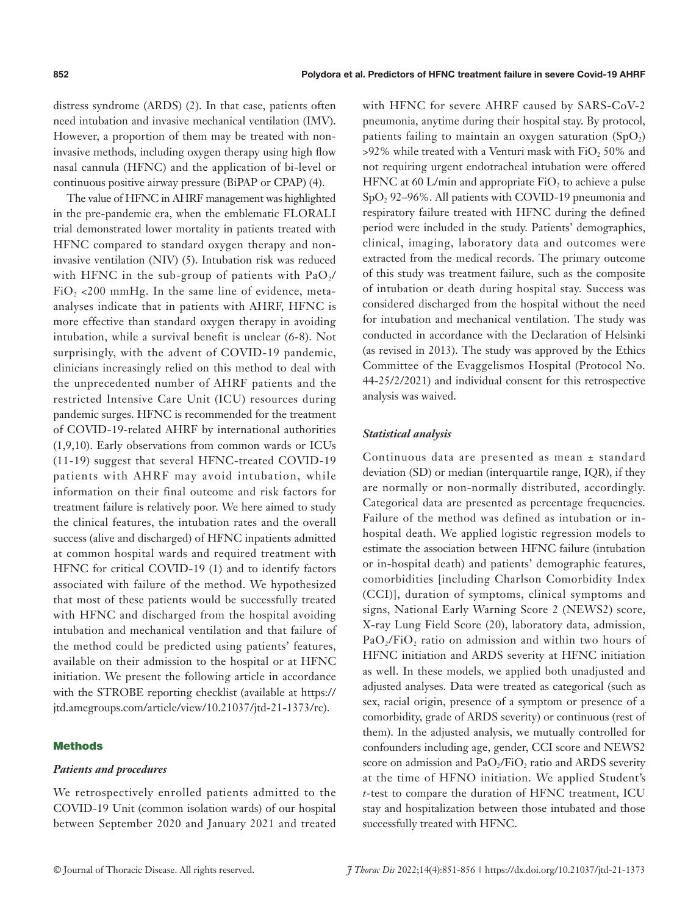distress syndrome (ARDS) (2). In that case, patients often need intubation and invasive mechanical ventilation (IMV). However, a proportion of them may be treated with noninvasive methods, including oxygen therapy using high flow nasal cannula (HFNC) and the application of bi-level or continuous positive airway pressure (BiPAP or CPAP) (4).

The value of HFNC in AHRF management was highlighted in the pre-pandemic era, when the emblematic FLORALI trial demonstrated lower mortality in patients treated with HFNC compared to standard oxygen therapy and noninvasive ventilation (NIV) (5). Intubation risk was reduced with HFNC in the sub-group of patients with  $PaO<sub>2</sub>/$  $FiO<sub>2</sub> < 200$  mmHg. In the same line of evidence, metaanalyses indicate that in patients with AHRF, HFNC is more effective than standard oxygen therapy in avoiding intubation, while a survival benefit is unclear (6-8). Not surprisingly, with the advent of COVID-19 pandemic, clinicians increasingly relied on this method to deal with the unprecedented number of AHRF patients and the restricted Intensive Care Unit (ICU) resources during pandemic surges. HFNC is recommended for the treatment of COVID-19-related AHRF by international authorities (1,9,10). Early observations from common wards or ICUs (11-19) suggest that several HFNC-treated COVID-19 patients with AHRF may avoid intubation, while information on their final outcome and risk factors for treatment failure is relatively poor. We here aimed to study the clinical features, the intubation rates and the overall success (alive and discharged) of HFNC inpatients admitted at common hospital wards and required treatment with HFNC for critical COVID-19 (1) and to identify factors associated with failure of the method. We hypothesized that most of these patients would be successfully treated with HFNC and discharged from the hospital avoiding intubation and mechanical ventilation and that failure of the method could be predicted using patients' features, available on their admission to the hospital or at HFNC initiation. We present the following article in accordance with the STROBE reporting checklist (available at [https://](https://jtd.amegroups.com/article/view/10.21037/jtd-21-1373/rc) [jtd.amegroups.com/article/view/10.21037/jtd-21-1373/rc](https://jtd.amegroups.com/article/view/10.21037/jtd-21-1373/rc)).

#### Methods

#### *Patients and procedures*

We retrospectively enrolled patients admitted to the COVID-19 Unit (common isolation wards) of our hospital between September 2020 and January 2021 and treated with HFNC for severe AHRF caused by SARS-CoV-2 pneumonia, anytime during their hospital stay. By protocol, patients failing to maintain an oxygen saturation  $(SpO<sub>2</sub>)$ >92% while treated with a Venturi mask with FiO, 50% and not requiring urgent endotracheal intubation were offered HFNC at 60 L/min and appropriate  $FiO$ , to achieve a pulse SpO<sub>2</sub> 92–96%. All patients with COVID-19 pneumonia and respiratory failure treated with HFNC during the defined period were included in the study. Patients' demographics, clinical, imaging, laboratory data and outcomes were extracted from the medical records. The primary outcome of this study was treatment failure, such as the composite of intubation or death during hospital stay. Success was considered discharged from the hospital without the need for intubation and mechanical ventilation. The study was conducted in accordance with the Declaration of Helsinki (as revised in 2013). The study was approved by the Ethics Committee of the Evaggelismos Hospital (Protocol No. 44-25/2/2021) and individual consent for this retrospective analysis was waived.

# *Statistical analysis*

Continuous data are presented as mean ± standard deviation (SD) or median (interquartile range, IQR), if they are normally or non-normally distributed, accordingly. Categorical data are presented as percentage frequencies. Failure of the method was defined as intubation or inhospital death. We applied logistic regression models to estimate the association between HFNC failure (intubation or in-hospital death) and patients' demographic features, comorbidities [including Charlson Comorbidity Index (CCI)], duration of symptoms, clinical symptoms and signs, National Early Warning Score 2 (NEWS2) score, X-ray Lung Field Score (20), laboratory data, admission,  $PaO<sub>2</sub>/FiO<sub>2</sub>$  ratio on admission and within two hours of HFNC initiation and ARDS severity at HFNC initiation as well. In these models, we applied both unadjusted and adjusted analyses. Data were treated as categorical (such as sex, racial origin, presence of a symptom or presence of a comorbidity, grade of ARDS severity) or continuous (rest of them). In the adjusted analysis, we mutually controlled for confounders including age, gender, CCI score and NEWS2 score on admission and  $PaO<sub>2</sub>/FiO<sub>2</sub>$  ratio and ARDS severity at the time of HFNO initiation. We applied Student's *t*-test to compare the duration of HFNC treatment, ICU stay and hospitalization between those intubated and those successfully treated with HFNC.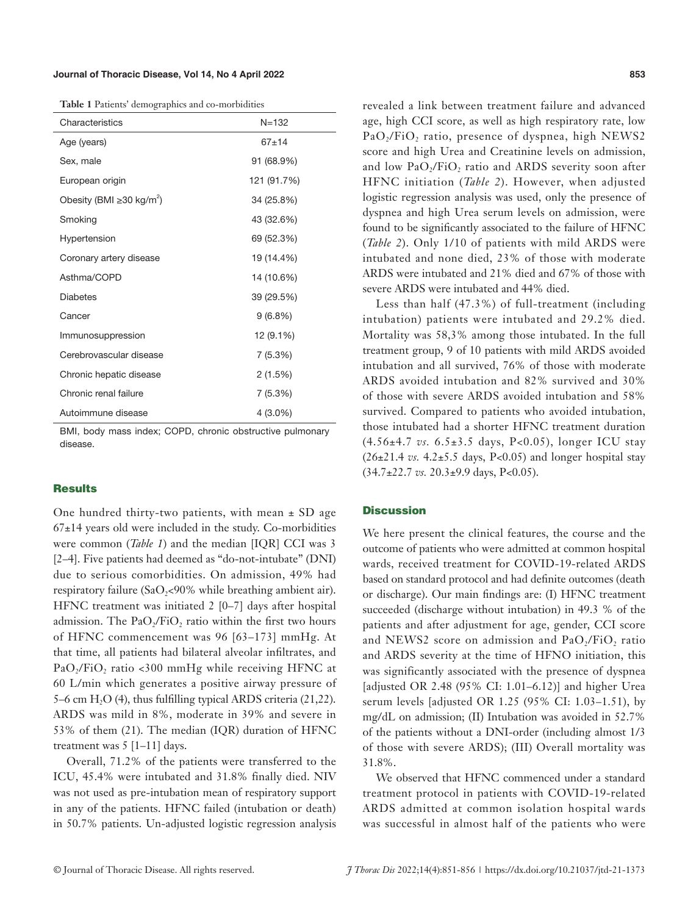#### **Journal of Thoracic Disease, Vol 14, No 4 April 2022 853**

**Table 1** Patients' demographics and co-morbidities

| Characteristics                            | $N = 132$   |  |
|--------------------------------------------|-------------|--|
| Age (years)                                | $67+14$     |  |
| Sex, male                                  | 91 (68.9%)  |  |
| European origin                            | 121 (91.7%) |  |
| Obesity (BMI $\geq$ 30 kg/m <sup>2</sup> ) | 34 (25.8%)  |  |
| Smoking                                    | 43 (32.6%)  |  |
| Hypertension                               | 69 (52.3%)  |  |
| Coronary artery disease                    | 19 (14.4%)  |  |
| Asthma/COPD                                | 14 (10.6%)  |  |
| <b>Diabetes</b>                            | 39 (29.5%)  |  |
| Cancer                                     | 9(6.8%)     |  |
| Immunosuppression                          | 12 (9.1%)   |  |
| Cerebrovascular disease                    | 7(5.3%)     |  |
| Chronic hepatic disease                    | 2(1.5%)     |  |
| Chronic renal failure                      | 7(5.3%)     |  |
| Autoimmune disease                         | 4 (3.0%)    |  |

BMI, body mass index; COPD, chronic obstructive pulmonary disease.

#### **Results**

One hundred thirty-two patients, with mean  $\pm$  SD age  $67±14$  years old were included in the study. Co-morbidities were common (*Table 1*) and the median [IQR] CCI was 3 [2–4]. Five patients had deemed as "do-not-intubate" (DNI) due to serious comorbidities. On admission, 49% had respiratory failure (SaO<sub>2</sub><90% while breathing ambient air). HFNC treatment was initiated 2 [0–7] days after hospital admission. The  $PaO<sub>2</sub>/FiO<sub>2</sub>$  ratio within the first two hours of HFNC commencement was 96 [63–173] mmHg. At that time, all patients had bilateral alveolar infiltrates, and  $PaO<sub>2</sub>/FiO<sub>2</sub>$  ratio <300 mmHg while receiving HFNC at 60 L/min which generates a positive airway pressure of 5–6 cm  $H<sub>2</sub>O$  (4), thus fulfilling typical ARDS criteria (21,22). ARDS was mild in 8%, moderate in 39% and severe in 53% of them (21). The median (IQR) duration of HFNC treatment was 5 [1–11] days.

Overall, 71.2% of the patients were transferred to the ICU, 45.4% were intubated and 31.8% finally died. NIV was not used as pre-intubation mean of respiratory support in any of the patients. HFNC failed (intubation or death) in 50.7% patients. Un-adjusted logistic regression analysis

revealed a link between treatment failure and advanced age, high CCI score, as well as high respiratory rate, low PaO<sub>2</sub>/FiO<sub>2</sub> ratio, presence of dyspnea, high NEWS2 score and high Urea and Creatinine levels on admission, and low PaO<sub>2</sub>/FiO<sub>2</sub> ratio and ARDS severity soon after HFNC initiation (*Table 2*). However, when adjusted logistic regression analysis was used, only the presence of dyspnea and high Urea serum levels on admission, were found to be significantly associated to the failure of HFNC (*Table 2*). Only 1/10 of patients with mild ARDS were intubated and none died, 23% of those with moderate ARDS were intubated and 21% died and 67% of those with severe ARDS were intubated and 44% died.

Less than half (47.3%) of full-treatment (including intubation) patients were intubated and 29.2% died. Mortality was 58,3% among those intubated. In the full treatment group, 9 of 10 patients with mild ARDS avoided intubation and all survived, 76% of those with moderate ARDS avoided intubation and 82% survived and 30% of those with severe ARDS avoided intubation and 58% survived. Compared to patients who avoided intubation, those intubated had a shorter HFNC treatment duration (4.56±4.7 *vs.* 6.5±3.5 days, P<0.05), longer ICU stay  $(26\pm21.4 \text{ vs. } 4.2\pm5.5 \text{ days}, P<0.05)$  and longer hospital stay (34.7±22.7 *vs.* 20.3±9.9 days, P<0.05).

# **Discussion**

We here present the clinical features, the course and the outcome of patients who were admitted at common hospital wards, received treatment for COVID-19-related ARDS based on standard protocol and had definite outcomes (death or discharge). Our main findings are: (I) HFNC treatment succeeded (discharge without intubation) in 49.3 % of the patients and after adjustment for age, gender, CCI score and NEWS2 score on admission and  $PaO<sub>2</sub>/FiO<sub>2</sub>$  ratio and ARDS severity at the time of HFNO initiation, this was significantly associated with the presence of dyspnea [adjusted OR 2.48 (95% CI: 1.01–6.12)] and higher Urea serum levels [adjusted OR 1.25 (95% CI: 1.03–1.51), by mg/dL on admission; (II) Intubation was avoided in 52.7% of the patients without a DNI-order (including almost 1/3 of those with severe ARDS); (III) Overall mortality was 31.8%.

We observed that HFNC commenced under a standard treatment protocol in patients with COVID-19-related ARDS admitted at common isolation hospital wards was successful in almost half of the patients who were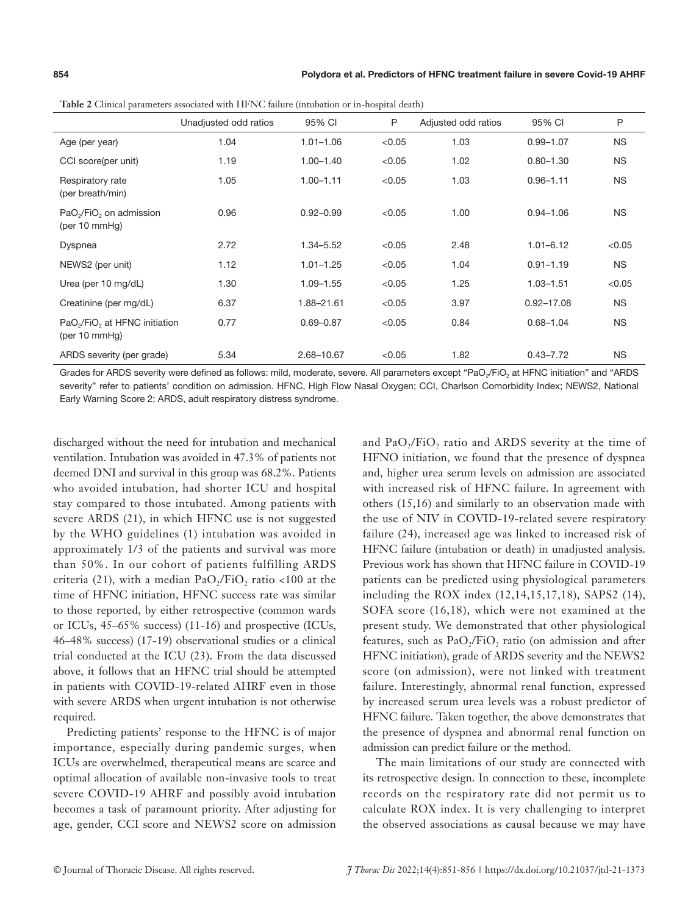|                                                                             | Unadjusted odd ratios | 95% CI        | P      | Adjusted odd ratios | 95% CI         | P         |
|-----------------------------------------------------------------------------|-----------------------|---------------|--------|---------------------|----------------|-----------|
| Age (per year)                                                              | 1.04                  | $1.01 - 1.06$ | < 0.05 | 1.03                | $0.99 - 1.07$  | <b>NS</b> |
| CCI score(per unit)                                                         | 1.19                  | $1.00 - 1.40$ | < 0.05 | 1.02                | $0.80 - 1.30$  | <b>NS</b> |
| Respiratory rate<br>(per breath/min)                                        | 1.05                  | $1.00 - 1.11$ | < 0.05 | 1.03                | $0.96 - 1.11$  | <b>NS</b> |
| PaO <sub>2</sub> /FiO <sub>2</sub> on admission<br>(per $10 \text{ mmHg}$ ) | 0.96                  | $0.92 - 0.99$ | < 0.05 | 1.00                | $0.94 - 1.06$  | <b>NS</b> |
| Dyspnea                                                                     | 2.72                  | 1.34-5.52     | < 0.05 | 2.48                | $1.01 - 6.12$  | < 0.05    |
| NEWS2 (per unit)                                                            | 1.12                  | $1.01 - 1.25$ | < 0.05 | 1.04                | $0.91 - 1.19$  | <b>NS</b> |
| Urea (per 10 mg/dL)                                                         | 1.30                  | $1.09 - 1.55$ | < 0.05 | 1.25                | $1.03 - 1.51$  | < 0.05    |
| Creatinine (per mg/dL)                                                      | 6.37                  | 1.88-21.61    | < 0.05 | 3.97                | $0.92 - 17.08$ | <b>NS</b> |
| PaO <sub>2</sub> /FiO <sub>2</sub> at HFNC initiation<br>(per 10 mmHq)      | 0.77                  | $0.69 - 0.87$ | < 0.05 | 0.84                | $0.68 - 1.04$  | <b>NS</b> |
| ARDS severity (per grade)                                                   | 5.34                  | 2.68-10.67    | < 0.05 | 1.82                | $0.43 - 7.72$  | <b>NS</b> |

**Table 2** Clinical parameters associated with HFNC failure (intubation or in-hospital death)

Grades for ARDS severity were defined as follows: mild, moderate, severe. All parameters except "PaO<sub>2</sub>/FiO<sub>2</sub> at HFNC initiation" and "ARDS severity" refer to patients' condition on admission. HFNC, High Flow Nasal Oxygen; CCI, Charlson Comorbidity Index; NEWS2, National Early Warning Score 2; ARDS, adult respiratory distress syndrome.

discharged without the need for intubation and mechanical ventilation. Intubation was avoided in 47.3% of patients not deemed DNI and survival in this group was 68.2%. Patients who avoided intubation, had shorter ICU and hospital stay compared to those intubated. Among patients with severe ARDS (21), in which HFNC use is not suggested by the WHO guidelines (1) intubation was avoided in approximately 1/3 of the patients and survival was more than 50%. In our cohort of patients fulfilling ARDS criteria (21), with a median PaO<sub>2</sub>/FiO<sub>2</sub> ratio <100 at the time of HFNC initiation, HFNC success rate was similar to those reported, by either retrospective (common wards or ICUs, 45–65% success) (11-16) and prospective (ICUs, 46–48% success) (17-19) observational studies or a clinical trial conducted at the ICU (23). From the data discussed above, it follows that an HFNC trial should be attempted in patients with COVID-19-related AHRF even in those with severe ARDS when urgent intubation is not otherwise required.

Predicting patients' response to the HFNC is of major importance, especially during pandemic surges, when ICUs are overwhelmed, therapeutical means are scarce and optimal allocation of available non-invasive tools to treat severe COVID-19 AHRF and possibly avoid intubation becomes a task of paramount priority. After adjusting for age, gender, CCI score and NEWS2 score on admission

and PaO<sub>2</sub>/FiO<sub>2</sub> ratio and ARDS severity at the time of HFNO initiation, we found that the presence of dyspnea and, higher urea serum levels on admission are associated with increased risk of HFNC failure. In agreement with others (15,16) and similarly to an observation made with the use of NIV in COVID-19-related severe respiratory failure (24), increased age was linked to increased risk of HFNC failure (intubation or death) in unadjusted analysis. Previous work has shown that HFNC failure in COVID-19 patients can be predicted using physiological parameters including the ROX index (12,14,15,17,18), SAPS2 (14), SOFA score (16,18), which were not examined at the present study. We demonstrated that other physiological features, such as  $PaO<sub>2</sub>/FiO<sub>2</sub>$  ratio (on admission and after HFNC initiation), grade of ARDS severity and the NEWS2 score (on admission), were not linked with treatment failure. Interestingly, abnormal renal function, expressed by increased serum urea levels was a robust predictor of HFNC failure. Taken together, the above demonstrates that the presence of dyspnea and abnormal renal function on admission can predict failure or the method.

The main limitations of our study are connected with its retrospective design. In connection to these, incomplete records on the respiratory rate did not permit us to calculate ROX index. It is very challenging to interpret the observed associations as causal because we may have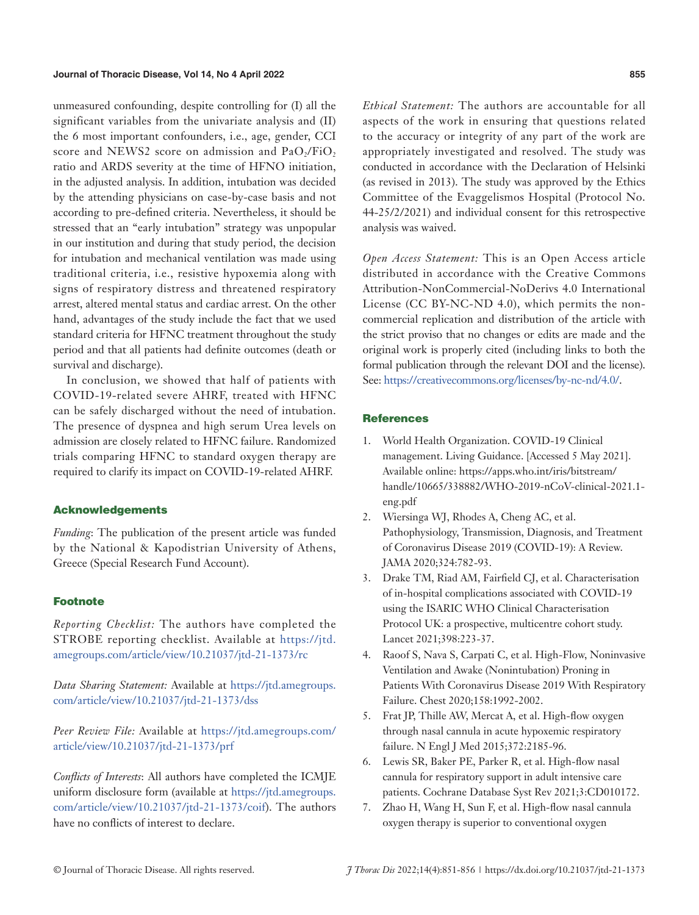#### **Journal of Thoracic Disease, Vol 14, No 4 April 2022 855**

unmeasured confounding, despite controlling for (I) all the significant variables from the univariate analysis and (II) the 6 most important confounders, i.e., age, gender, CCI score and NEWS2 score on admission and  $PaO<sub>2</sub>/FiO<sub>2</sub>$ ratio and ARDS severity at the time of HFNO initiation, in the adjusted analysis. In addition, intubation was decided by the attending physicians on case-by-case basis and not according to pre-defined criteria. Nevertheless, it should be stressed that an "early intubation" strategy was unpopular in our institution and during that study period, the decision for intubation and mechanical ventilation was made using traditional criteria, i.e., resistive hypoxemia along with signs of respiratory distress and threatened respiratory arrest, altered mental status and cardiac arrest. On the other hand, advantages of the study include the fact that we used standard criteria for HFNC treatment throughout the study period and that all patients had definite outcomes (death or survival and discharge).

In conclusion, we showed that half of patients with COVID-19-related severe AHRF, treated with HFNC can be safely discharged without the need of intubation. The presence of dyspnea and high serum Urea levels on admission are closely related to HFNC failure. Randomized trials comparing HFNC to standard oxygen therapy are required to clarify its impact on COVID-19-related AHRF.

#### Acknowledgements

*Funding*: The publication of the present article was funded by the National & Kapodistrian University of Athens, Greece (Special Research Fund Account).

# Footnote

*Reporting Checklist:* The authors have completed the STROBE reporting checklist. Available at [https://jtd.](https://jtd.amegroups.com/article/view/10.21037/jtd-21-1373/rc) [amegroups.com/article/view/10.21037/jtd-21-1373/rc](https://jtd.amegroups.com/article/view/10.21037/jtd-21-1373/rc)

*Data Sharing Statement:* Available at [https://jtd.amegroups.](https://jtd.amegroups.com/article/view/10.21037/jtd-21-1373/dss) [com/article/view/10.21037/jtd-21-1373/dss](https://jtd.amegroups.com/article/view/10.21037/jtd-21-1373/dss)

*Peer Review File:* Available at [https://jtd.amegroups.com/](https://jtd.amegroups.com/article/view/10.21037/jtd-21-1373/prf) [article/view/10.21037/jtd-21-1373/prf](https://jtd.amegroups.com/article/view/10.21037/jtd-21-1373/prf)

*Conflicts of Interests*: All authors have completed the ICMJE uniform disclosure form (available at [https://jtd.amegroups.](https://jtd.amegroups.com/article/view/10.21037/jtd-21-1373/coif) [com/article/view/10.21037/jtd-21-1373/coif](https://jtd.amegroups.com/article/view/10.21037/jtd-21-1373/coif)). The authors have no conflicts of interest to declare.

*Ethical Statement:* The authors are accountable for all aspects of the work in ensuring that questions related to the accuracy or integrity of any part of the work are appropriately investigated and resolved. The study was conducted in accordance with the Declaration of Helsinki (as revised in 2013). The study was approved by the Ethics Committee of the Evaggelismos Hospital (Protocol No. 44-25/2/2021) and individual consent for this retrospective analysis was waived.

*Open Access Statement:* This is an Open Access article distributed in accordance with the Creative Commons Attribution-NonCommercial-NoDerivs 4.0 International License (CC BY-NC-ND 4.0), which permits the noncommercial replication and distribution of the article with the strict proviso that no changes or edits are made and the original work is properly cited (including links to both the formal publication through the relevant DOI and the license). See: [https://creativecommons.org/licenses/by-nc-nd/4.0/.](https://creativecommons.org/licenses/by-nc-nd/4.0/)

# **References**

- 1. World Health Organization. COVID-19 Clinical management. Living Guidance. [Accessed 5 May 2021]. Available online: https://apps.who.int/iris/bitstream/ handle/10665/338882/WHO-2019-nCoV-clinical-2021.1 eng.pdf
- 2. Wiersinga WJ, Rhodes A, Cheng AC, et al. Pathophysiology, Transmission, Diagnosis, and Treatment of Coronavirus Disease 2019 (COVID-19): A Review. JAMA 2020;324:782-93.
- 3. Drake TM, Riad AM, Fairfield CJ, et al. Characterisation of in-hospital complications associated with COVID-19 using the ISARIC WHO Clinical Characterisation Protocol UK: a prospective, multicentre cohort study. Lancet 2021;398:223-37.
- 4. Raoof S, Nava S, Carpati C, et al. High-Flow, Noninvasive Ventilation and Awake (Nonintubation) Proning in Patients With Coronavirus Disease 2019 With Respiratory Failure. Chest 2020;158:1992-2002.
- 5. Frat JP, Thille AW, Mercat A, et al. High-flow oxygen through nasal cannula in acute hypoxemic respiratory failure. N Engl J Med 2015;372:2185-96.
- 6. Lewis SR, Baker PE, Parker R, et al. High-flow nasal cannula for respiratory support in adult intensive care patients. Cochrane Database Syst Rev 2021;3:CD010172.
- 7. Zhao H, Wang H, Sun F, et al. High-flow nasal cannula oxygen therapy is superior to conventional oxygen